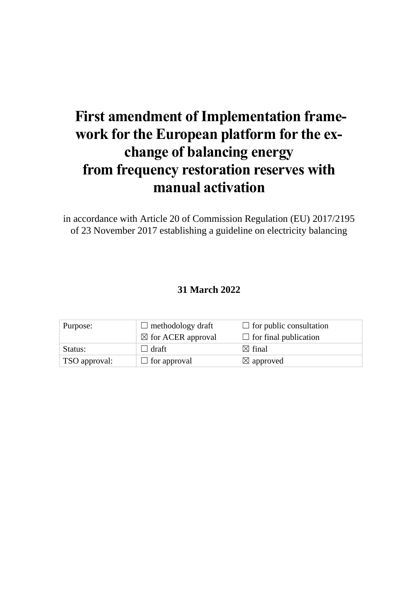# **First amendment of Implementation framework for the European platform for the exchange of balancing energy from frequency restoration reserves with manual activation**

in accordance with Article 20 of Commission Regulation (EU) 2017/2195 of 23 November 2017 establishing a guideline on electricity balancing

## **31 March 2022**

| Purpose:      | $\Box$ methodology draft      | $\Box$ for public consultation |
|---------------|-------------------------------|--------------------------------|
|               | $\boxtimes$ for ACER approval | $\Box$ for final publication   |
| Status:       | ⊿ draft ∣                     | $\boxtimes$ final              |
| TSO approval: | $\Box$ for approval           | $\boxtimes$ approved           |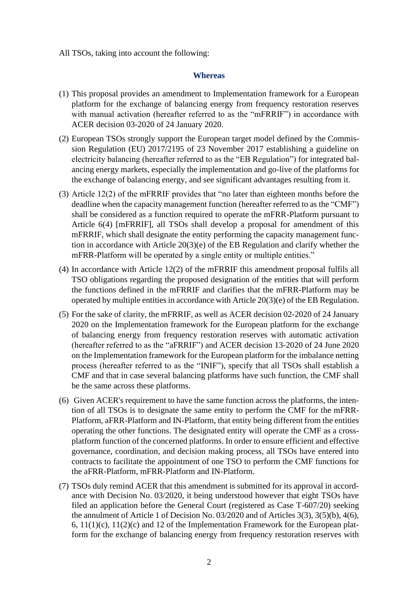All TSOs, taking into account the following:

#### **Whereas**

- (1) This proposal provides an amendment to Implementation framework for a European platform for the exchange of balancing energy from frequency restoration reserves with manual activation (hereafter referred to as the "mFRRIF") in accordance with ACER decision 03-2020 of 24 January 2020.
- (2) European TSOs strongly support the European target model defined by the Commission Regulation (EU) 2017/2195 of 23 November 2017 establishing a guideline on electricity balancing (hereafter referred to as the "EB Regulation") for integrated balancing energy markets, especially the implementation and go-live of the platforms for the exchange of balancing energy, and see significant advantages resulting from it.
- (3) Article 12(2) of the mFRRIF provides that "no later than eighteen months before the deadline when the capacity management function (hereafter referred to as the "CMF") shall be considered as a function required to operate the mFRR-Platform pursuant to Article 6(4) [mFRRIF], all TSOs shall develop a proposal for amendment of this mFRRIF, which shall designate the entity performing the capacity management function in accordance with Article 20(3)(e) of the EB Regulation and clarify whether the mFRR-Platform will be operated by a single entity or multiple entities."
- (4) In accordance with Article 12(2) of the mFRRIF this amendment proposal fulfils all TSO obligations regarding the proposed designation of the entities that will perform the functions defined in the mFRRIF and clarifies that the mFRR-Platform may be operated by multiple entities in accordance with Article 20(3)(e) of the EB Regulation.
- (5) For the sake of clarity, the mFRRIF, as well as ACER decision 02-2020 of 24 January 2020 on the Implementation framework for the European platform for the exchange of balancing energy from frequency restoration reserves with automatic activation (hereafter referred to as the "aFRRIF") and ACER decision 13-2020 of 24 June 2020 on the Implementation framework for the European platform for the imbalance netting process (hereafter referred to as the "INIF"), specify that all TSOs shall establish a CMF and that in case several balancing platforms have such function, the CMF shall be the same across these platforms.
- (6) Given ACER's requirement to have the same function across the platforms, the intention of all TSOs is to designate the same entity to perform the CMF for the mFRR-Platform, aFRR-Platform and IN-Platform, that entity being different from the entities operating the other functions. The designated entity will operate the CMF as a crossplatform function of the concerned platforms. In order to ensure efficient and effective governance, coordination, and decision making process, all TSOs have entered into contracts to facilitate the appointment of one TSO to perform the CMF functions for the aFRR-Platform, mFRR-Platform and IN-Platform.
- (7) TSOs duly remind ACER that this amendment is submitted for its approval in accordance with Decision No. 03/2020, it being understood however that eight TSOs have filed an application before the General Court (registered as Case T-607/20) seeking the annulment of Article 1 of Decision No. 03/2020 and of Articles 3(3), 3(5)(b), 4(6), 6,  $11(1)(c)$ ,  $11(2)(c)$  and 12 of the Implementation Framework for the European platform for the exchange of balancing energy from frequency restoration reserves with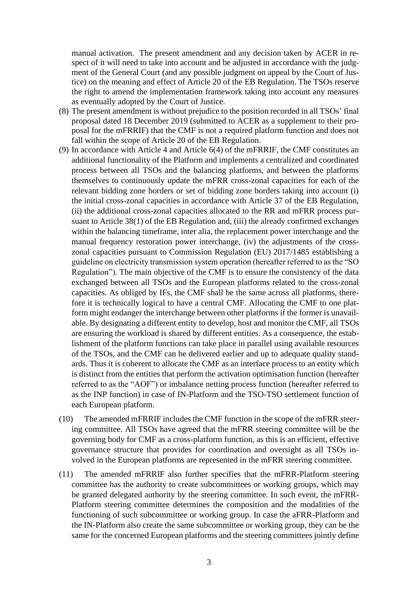manual activation. The present amendment and any decision taken by ACER in respect of it will need to take into account and be adjusted in accordance with the judgment of the General Court (and any possible judgment on appeal by the Court of Justice) on the meaning and effect of Article 20 of the EB Regulation. The TSOs reserve the right to amend the implementation framework taking into account any measures as eventually adopted by the Court of Justice.

- (8) The present amendment is without prejudice to the position recorded in all TSOs' final proposal dated 18 December 2019 (submitted to ACER as a supplement to their proposal for the mFRRIF) that the CMF is not a required platform function and does not fall within the scope of Article 20 of the EB Regulation.
- (9) In accordance with Article 4 and Article 6(4) of the mFRRIF, the CMF constitutes an additional functionality of the Platform and implements a centralized and coordinated process between all TSOs and the balancing platforms, and between the platforms themselves to continuously update the mFRR cross-zonal capacities for each of the relevant bidding zone borders or set of bidding zone borders taking into account (i) the initial cross-zonal capacities in accordance with Article 37 of the EB Regulation, (ii) the additional cross-zonal capacities allocated to the RR and mFRR process pursuant to Article 38(1) of the EB Regulation and, (iii) the already confirmed exchanges within the balancing timeframe, inter alia, the replacement power interchange and the manual frequency restoration power interchange, (iv) the adjustments of the crosszonal capacities pursuant to Commission Regulation (EU) 2017/1485 establishing a guideline on electricity transmission system operation (hereafter referred to as the "SO Regulation"). The main objective of the CMF is to ensure the consistency of the data exchanged between all TSOs and the European platforms related to the cross-zonal capacities. As obliged by IFs, the CMF shall be the same across all platforms, therefore it is technically logical to have a central CMF. Allocating the CMF to one platform might endanger the interchange between other platforms if the former is unavailable. By designating a different entity to develop, host and monitor the CMF, all TSOs are ensuring the workload is shared by different entities. As a consequence, the establishment of the platform functions can take place in parallel using available resources of the TSOs, and the CMF can be delivered earlier and up to adequate quality standards. Thus it is coherent to allocate the CMF as an interface process to an entity which is distinct from the entities that perform the activation optimisation function (hereafter referred to as the "AOF") or imbalance netting process function (hereafter referred to as the INP function) in case of IN-Platform and the TSO-TSO settlement function of each European platform.
- (10) The amended mFRRIF includes the CMF function in the scope of the mFRR steering committee. All TSOs have agreed that the mFRR steering committee will be the governing body for CMF as a cross-platform function, as this is an efficient, effective governance structure that provides for coordination and oversight as all TSOs involved in the European platforms are represented in the mFRR steering committee.
- (11) The amended mFRRIF also further specifies that the mFRR-Platform steering committee has the authority to create subcommittees or working groups, which may be granted delegated authority by the steering committee. In such event, the mFRR-Platform steering committee determines the composition and the modalities of the functioning of such subcommittee or working group. In case the aFRR-Platform and the IN-Platform also create the same subcommittee or working group, they can be the same for the concerned European platforms and the steering committees jointly define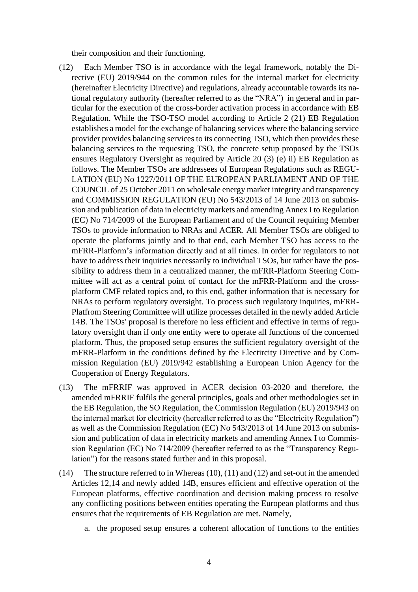their composition and their functioning.

- (12) Each Member TSO is in accordance with the legal framework, notably the Directive (EU) 2019/944 on the common rules for the internal market for electricity (hereinafter Electricity Directive) and regulations, already accountable towards its national regulatory authority (hereafter referred to as the "NRA") in general and in particular for the execution of the cross-border activation process in accordance with EB Regulation. While the TSO-TSO model according to Article 2 (21) EB Regulation establishes a model for the exchange of balancing services where the balancing service provider provides balancing services to its connecting TSO, which then provides these balancing services to the requesting TSO, the concrete setup proposed by the TSOs ensures Regulatory Oversight as required by Article 20 (3) (e) ii) EB Regulation as follows. The Member TSOs are addressees of European Regulations such as REGU-LATION (EU) No 1227/2011 OF THE EUROPEAN PARLIAMENT AND OF THE COUNCIL of 25 October 2011 on wholesale energy market integrity and transparency and COMMISSION REGULATION (EU) No 543/2013 of 14 June 2013 on submission and publication of data in electricity markets and amending Annex I to Regulation (EC) No 714/2009 of the European Parliament and of the Council requiring Member TSOs to provide information to NRAs and ACER. All Member TSOs are obliged to operate the platforms jointly and to that end, each Member TSO has access to the mFRR-Platform's information directly and at all times. In order for regulators to not have to address their inquiries necessarily to individual TSOs, but rather have the possibility to address them in a centralized manner, the mFRR-Platform Steering Committee will act as a central point of contact for the mFRR-Platform and the crossplatform CMF related topics and, to this end, gather information that is necessary for NRAs to perform regulatory oversight. To process such regulatory inquiries, mFRR-Platfrom Steering Committee will utilize processes detailed in the newly added Article 14B. The TSOs' proposal is therefore no less efficient and effective in terms of regulatory oversight than if only one entity were to operate all functions of the concerned platform. Thus, the proposed setup ensures the sufficient regulatory oversight of the mFRR-Platform in the conditions defined by the Electircity Directive and by Commission Regulation (EU) 2019/942 establishing a European Union Agency for the Cooperation of Energy Regulators.
- (13) The mFRRIF was approved in ACER decision 03-2020 and therefore, the amended mFRRIF fulfils the general principles, goals and other methodologies set in the EB Regulation, the SO Regulation, the Commission Regulation (EU) 2019/943 on the internal market for electricity (hereafter referred to as the "Electricity Regulation") as well as the Commission Regulation (EC) No 543/2013 of 14 June 2013 on submission and publication of data in electricity markets and amending Annex I to Commission Regulation (EC) No 714/2009 (hereafter referred to as the "Transparency Regulation") for the reasons stated further and in this proposal.
- (14) The structure referred to in Whereas (10), (11) and (12) and set-out in the amended Articles 12,14 and newly added 14B, ensures efficient and effective operation of the European platforms, effective coordination and decision making process to resolve any conflicting positions between entities operating the European platforms and thus ensures that the requirements of EB Regulation are met. Namely,
	- a. the proposed setup ensures a coherent allocation of functions to the entities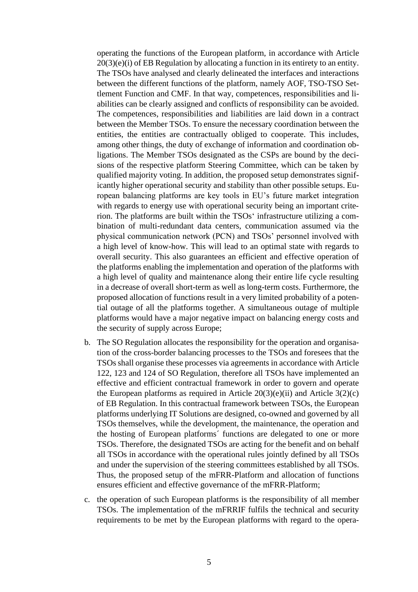operating the functions of the European platform, in accordance with Article 20(3)(e)(i) of EB Regulation by allocating a function in its entirety to an entity. The TSOs have analysed and clearly delineated the interfaces and interactions between the different functions of the platform, namely AOF, TSO-TSO Settlement Function and CMF. In that way, competences, responsibilities and liabilities can be clearly assigned and conflicts of responsibility can be avoided. The competences, responsibilities and liabilities are laid down in a contract between the Member TSOs. To ensure the necessary coordination between the entities, the entities are contractually obliged to cooperate. This includes, among other things, the duty of exchange of information and coordination obligations. The Member TSOs designated as the CSPs are bound by the decisions of the respective platform Steering Committee, which can be taken by qualified majority voting. In addition, the proposed setup demonstrates significantly higher operational security and stability than other possible setups. European balancing platforms are key tools in EU's future market integration with regards to energy use with operational security being an important criterion. The platforms are built within the TSOs' infrastructure utilizing a combination of multi-redundant data centers, communication assumed via the physical communication network (PCN) and TSOs' personnel involved with a high level of know-how. This will lead to an optimal state with regards to overall security. This also guarantees an efficient and effective operation of the platforms enabling the implementation and operation of the platforms with a high level of quality and maintenance along their entire life cycle resulting in a decrease of overall short-term as well as long-term costs. Furthermore, the proposed allocation of functions result in a very limited probability of a potential outage of all the platforms together. A simultaneous outage of multiple platforms would have a major negative impact on balancing energy costs and the security of supply across Europe;

- b. The SO Regulation allocates the responsibility for the operation and organisation of the cross-border balancing processes to the TSOs and foresees that the TSOs shall organise these processes via agreements in accordance with Article 122, 123 and 124 of SO Regulation, therefore all TSOs have implemented an effective and efficient contractual framework in order to govern and operate the European platforms as required in Article  $20(3)(e)(ii)$  and Article  $3(2)(c)$ of EB Regulation. In this contractual framework between TSOs, the European platforms underlying IT Solutions are designed, co-owned and governed by all TSOs themselves, while the development, the maintenance, the operation and the hosting of European platforms´ functions are delegated to one or more TSOs. Therefore, the designated TSOs are acting for the benefit and on behalf all TSOs in accordance with the operational rules jointly defined by all TSOs and under the supervision of the steering committees established by all TSOs. Thus, the proposed setup of the mFRR-Platform and allocation of functions ensures efficient and effective governance of the mFRR-Platform;
- c. the operation of such European platforms is the responsibility of all member TSOs. The implementation of the mFRRIF fulfils the technical and security requirements to be met by the European platforms with regard to the opera-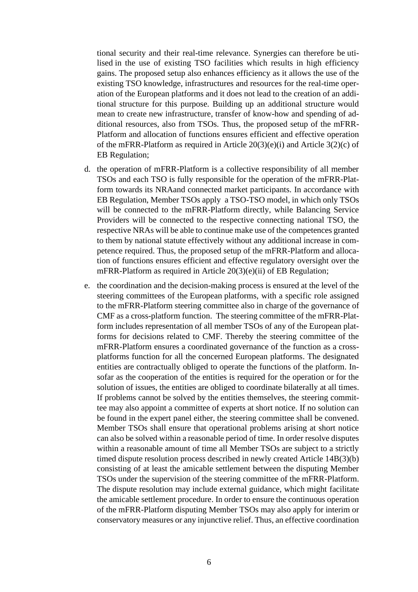tional security and their real-time relevance. Synergies can therefore be utilised in the use of existing TSO facilities which results in high efficiency gains. The proposed setup also enhances efficiency as it allows the use of the existing TSO knowledge, infrastructures and resources for the real-time operation of the European platforms and it does not lead to the creation of an additional structure for this purpose. Building up an additional structure would mean to create new infrastructure, transfer of know-how and spending of additional resources, also from TSOs. Thus, the proposed setup of the mFRR-Platform and allocation of functions ensures efficient and effective operation of the mFRR-Platform as required in Article  $20(3)(e)(i)$  and Article  $3(2)(c)$  of EB Regulation;

- d. the operation of mFRR-Platform is a collective responsibility of all member TSOs and each TSO is fully responsible for the operation of the mFRR-Platform towards its NRAand connected market participants. In accordance with EB Regulation, Member TSOs apply a TSO-TSO model, in which only TSOs will be connected to the mFRR-Platform directly, while Balancing Service Providers will be connected to the respective connecting national TSO, the respective NRAs will be able to continue make use of the competences granted to them by national statute effectively without any additional increase in competence required. Thus, the proposed setup of the mFRR-Platform and allocation of functions ensures efficient and effective regulatory oversight over the mFRR-Platform as required in Article 20(3)(e)(ii) of EB Regulation;
- e. the coordination and the decision-making process is ensured at the level of the steering committees of the European platforms, with a specific role assigned to the mFRR-Platform steering committee also in charge of the governance of CMF as a cross-platform function. The steering committee of the mFRR-Platform includes representation of all member TSOs of any of the European platforms for decisions related to CMF. Thereby the steering committee of the mFRR-Platform ensures a coordinated governance of the function as a crossplatforms function for all the concerned European platforms. The designated entities are contractually obliged to operate the functions of the platform. Insofar as the cooperation of the entities is required for the operation or for the solution of issues, the entities are obliged to coordinate bilaterally at all times. If problems cannot be solved by the entities themselves, the steering committee may also appoint a committee of experts at short notice. If no solution can be found in the expert panel either, the steering committee shall be convened. Member TSOs shall ensure that operational problems arising at short notice can also be solved within a reasonable period of time. In order resolve disputes within a reasonable amount of time all Member TSOs are subject to a strictly timed dispute resolution process described in newly created Article 14B(3)(b) consisting of at least the amicable settlement between the disputing Member TSOs under the supervision of the steering committee of the mFRR-Platform. The dispute resolution may include external guidance, which might facilitate the amicable settlement procedure. In order to ensure the continuous operation of the mFRR-Platform disputing Member TSOs may also apply for interim or conservatory measures or any injunctive relief. Thus, an effective coordination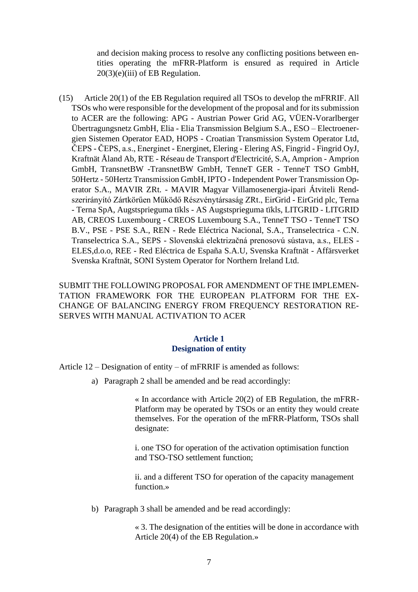and decision making process to resolve any conflicting positions between entities operating the mFRR-Platform is ensured as required in Article 20(3)(e)(iii) of EB Regulation.

(15) Article 20(1) of the EB Regulation required all TSOs to develop the mFRRIF. All TSOs who were responsible for the development of the proposal and for its submission to ACER are the following: APG - Austrian Power Grid AG, VÜEN-Vorarlberger Übertragungsnetz GmbH, Elia - Elia Transmission Belgium S.A., ESO – Electroenergien Sistemen Operator EAD, HOPS - Croatian Transmission System Operator Ltd, ČEPS - ČEPS, a.s., Energinet - Energinet, Elering - Elering AS, Fingrid - Fingrid OyJ, Kraftnät Åland Ab, RTE - Réseau de Transport d'Electricité, S.A, Amprion - Amprion GmbH, TransnetBW -TransnetBW GmbH, TenneT GER - TenneT TSO GmbH, 50Hertz - 50Hertz Transmission GmbH, IPTO - Independent Power Transmission Operator S.A., MAVIR ZRt. - MAVIR Magyar Villamosenergia-ipari Átviteli Rendszerirányító Zártkörűen Működő Részvénytársaság ZRt., EirGrid - EirGrid plc, Terna - Terna SpA, Augstsprieguma tïkls - AS Augstsprieguma tïkls, LITGRID - LITGRID AB, CREOS Luxembourg - CREOS Luxembourg S.A., TenneT TSO - TenneT TSO B.V., PSE - PSE S.A., REN - Rede Eléctrica Nacional, S.A., Transelectrica - C.N. Transelectrica S.A., SEPS - Slovenská elektrizačná prenosovú sústava, a.s., ELES - ELES,d.o.o, REE - Red Eléctrica de España S.A.U, Svenska Kraftnät - Affärsverket Svenska Kraftnät, SONI System Operator for Northern Ireland Ltd.

SUBMIT THE FOLLOWING PROPOSAL FOR AMENDMENT OF THE IMPLEMEN-TATION FRAMEWORK FOR THE EUROPEAN PLATFORM FOR THE EX-CHANGE OF BALANCING ENERGY FROM FREQUENCY RESTORATION RE-SERVES WITH MANUAL ACTIVATION TO ACER

#### **Article 1 Designation of entity**

Article 12 – Designation of entity – of mFRRIF is amended as follows:

a) Paragraph 2 shall be amended and be read accordingly:

« In accordance with Article 20(2) of EB Regulation, the mFRR-Platform may be operated by TSOs or an entity they would create themselves. For the operation of the mFRR-Platform, TSOs shall designate:

i. one TSO for operation of the activation optimisation function and TSO-TSO settlement function;

ii. and a different TSO for operation of the capacity management function.»

b) Paragraph 3 shall be amended and be read accordingly:

« 3. The designation of the entities will be done in accordance with Article 20(4) of the EB Regulation.»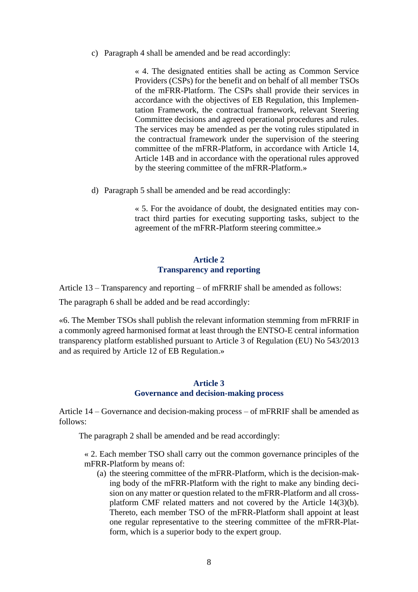c) Paragraph 4 shall be amended and be read accordingly:

« 4. The designated entities shall be acting as Common Service Providers (CSPs) for the benefit and on behalf of all member TSOs of the mFRR-Platform. The CSPs shall provide their services in accordance with the objectives of EB Regulation, this Implementation Framework, the contractual framework, relevant Steering Committee decisions and agreed operational procedures and rules. The services may be amended as per the voting rules stipulated in the contractual framework under the supervision of the steering committee of the mFRR-Platform, in accordance with Article 14, Article 14B and in accordance with the operational rules approved by the steering committee of the mFRR-Platform.»

d) Paragraph 5 shall be amended and be read accordingly:

« 5. For the avoidance of doubt, the designated entities may contract third parties for executing supporting tasks, subject to the agreement of the mFRR-Platform steering committee.»

### **Article 2 Transparency and reporting**

Article 13 – Transparency and reporting – of mFRRIF shall be amended as follows:

The paragraph 6 shall be added and be read accordingly:

«6. The Member TSOs shall publish the relevant information stemming from mFRRIF in a commonly agreed harmonised format at least through the ENTSO-E central information transparency platform established pursuant to Article 3 of Regulation (EU) No 543/2013 and as required by Article 12 of EB Regulation.»

#### **Article 3 Governance and decision-making process**

Article 14 – Governance and decision-making process – of mFRRIF shall be amended as follows:

The paragraph 2 shall be amended and be read accordingly:

« 2. Each member TSO shall carry out the common governance principles of the mFRR-Platform by means of:

(a) the steering committee of the mFRR-Platform, which is the decision-making body of the mFRR-Platform with the right to make any binding decision on any matter or question related to the mFRR-Platform and all crossplatform CMF related matters and not covered by the Article 14(3)(b). Thereto, each member TSO of the mFRR-Platform shall appoint at least one regular representative to the steering committee of the mFRR-Platform, which is a superior body to the expert group.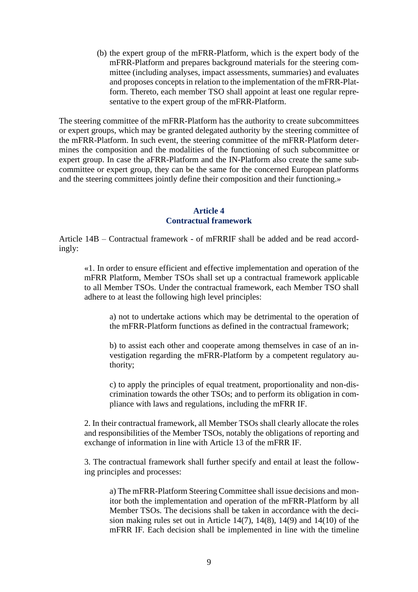(b) the expert group of the mFRR-Platform, which is the expert body of the mFRR-Platform and prepares background materials for the steering committee (including analyses, impact assessments, summaries) and evaluates and proposes concepts in relation to the implementation of the mFRR-Platform. Thereto, each member TSO shall appoint at least one regular representative to the expert group of the mFRR-Platform.

The steering committee of the mFRR-Platform has the authority to create subcommittees or expert groups, which may be granted delegated authority by the steering committee of the mFRR-Platform. In such event, the steering committee of the mFRR-Platform determines the composition and the modalities of the functioning of such subcommittee or expert group. In case the aFRR-Platform and the IN-Platform also create the same subcommittee or expert group, they can be the same for the concerned European platforms and the steering committees jointly define their composition and their functioning.»

#### **Article 4 Contractual framework**

Article 14B – Contractual framework - of mFRRIF shall be added and be read accordingly:

«1. In order to ensure efficient and effective implementation and operation of the mFRR Platform, Member TSOs shall set up a contractual framework applicable to all Member TSOs. Under the contractual framework, each Member TSO shall adhere to at least the following high level principles:

a) not to undertake actions which may be detrimental to the operation of the mFRR-Platform functions as defined in the contractual framework;

b) to assist each other and cooperate among themselves in case of an investigation regarding the mFRR-Platform by a competent regulatory authority;

c) to apply the principles of equal treatment, proportionality and non-discrimination towards the other TSOs; and to perform its obligation in compliance with laws and regulations, including the mFRR IF.

2. In their contractual framework, all Member TSOs shall clearly allocate the roles and responsibilities of the Member TSOs, notably the obligations of reporting and exchange of information in line with Article 13 of the mFRR IF.

3. The contractual framework shall further specify and entail at least the following principles and processes:

a) The mFRR-Platform Steering Committee shall issue decisions and monitor both the implementation and operation of the mFRR-Platform by all Member TSOs. The decisions shall be taken in accordance with the decision making rules set out in Article 14(7), 14(8), 14(9) and 14(10) of the mFRR IF. Each decision shall be implemented in line with the timeline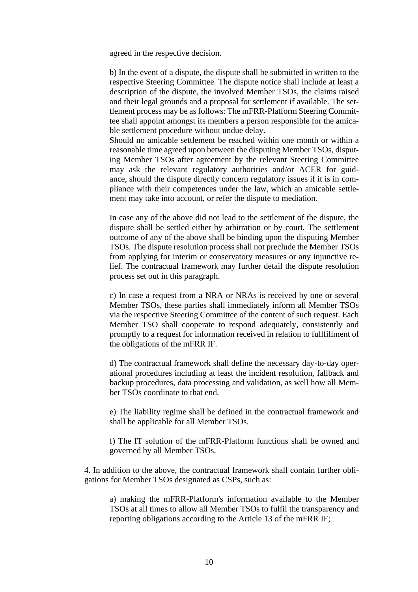agreed in the respective decision.

b) In the event of a dispute, the dispute shall be submitted in written to the respective Steering Committee. The dispute notice shall include at least a description of the dispute, the involved Member TSOs, the claims raised and their legal grounds and a proposal for settlement if available. The settlement process may be as follows: The mFRR-Platform Steering Committee shall appoint amongst its members a person responsible for the amicable settlement procedure without undue delay.

Should no amicable settlement be reached within one month or within a reasonable time agreed upon between the disputing Member TSOs, disputing Member TSOs after agreement by the relevant Steering Committee may ask the relevant regulatory authorities and/or ACER for guidance, should the dispute directly concern regulatory issues if it is in compliance with their competences under the law, which an amicable settlement may take into account, or refer the dispute to mediation.

In case any of the above did not lead to the settlement of the dispute, the dispute shall be settled either by arbitration or by court. The settlement outcome of any of the above shall be binding upon the disputing Member TSOs. The dispute resolution process shall not preclude the Member TSOs from applying for interim or conservatory measures or any injunctive relief. The contractual framework may further detail the dispute resolution process set out in this paragraph.

c) In case a request from a NRA or NRAs is received by one or several Member TSOs, these parties shall immediately inform all Member TSOs via the respective Steering Committee of the content of such request. Each Member TSO shall cooperate to respond adequately, consistently and promptly to a request for information received in relation to fullfillment of the obligations of the mFRR IF.

d) The contractual framework shall define the necessary day-to-day operational procedures including at least the incident resolution, fallback and backup procedures, data processing and validation, as well how all Member TSOs coordinate to that end.

e) The liability regime shall be defined in the contractual framework and shall be applicable for all Member TSOs.

f) The IT solution of the mFRR-Platform functions shall be owned and governed by all Member TSOs.

4. In addition to the above, the contractual framework shall contain further obligations for Member TSOs designated as CSPs, such as:

a) making the mFRR-Platform's information available to the Member TSOs at all times to allow all Member TSOs to fulfil the transparency and reporting obligations according to the Article 13 of the mFRR IF;